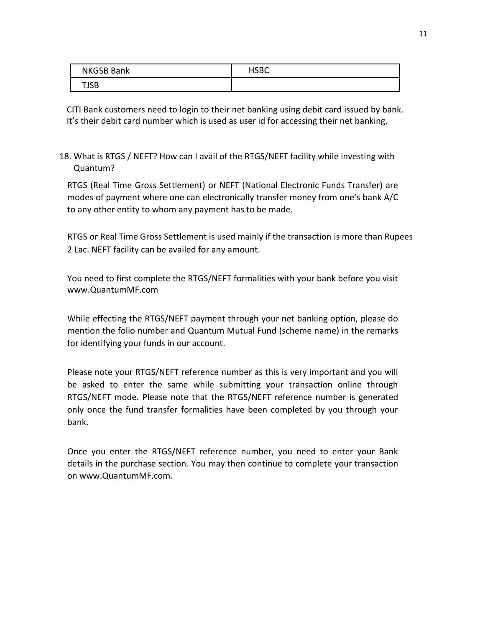18. What is RTGS / NEFT? How can I avail of the RTGS/NEFT facility while investing with Quantum?

RTGS (Real Time Gross Settlement) or NEFT (National Electronic Funds Transfer) are modes of payment where one can electronically transfer money from one's bank A/C to any other entity to whom any payment has to be made.

RTGS or Real Time Gross Settlement is used mainly if the transaction is more than Rupees 2 Lac. NEFT facility can be availed for any amount.

You need to first complete the RTGS/NEFT formalities with your bank before you visit www.QuantumMF.com

While effecting the RTGS/NEFT payment through your net banking option, please do mention the folio number and Quantum Mutual Fund (scheme name) in the remarks for identifying your funds in our account.

Please note your RTGS/NEFT reference number as this is very important and you will be asked to enter the same while submitting your transaction online through RTGS/NEFT mode. Please note that the RTGS/NEFT reference number is generated only once the fund transfer formalities have been completed by you through your bank.

Once you enter the RTGS/NEFT reference number, you need to enter your Bank details in the purchase section. You may then continue to complete your transaction on www.QuantumMF.com.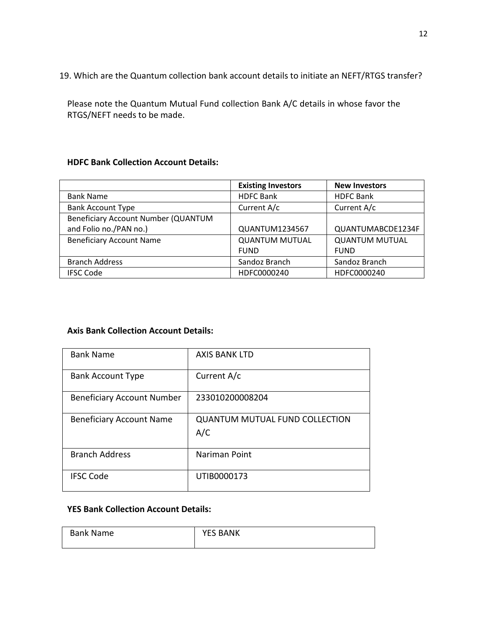19. Which are the Quantum collection bank account details to initiate an NEFT/RTGS transfer?

Please note the Quantum Mutual Fund collection Bank A/C details in whose favor the RTGS/NEFT needs to be made.

## **HDFC Bank Collection Account Details:**

|                                     | <b>Existing Investors</b> | <b>New Investors</b>  |
|-------------------------------------|---------------------------|-----------------------|
| <b>Bank Name</b>                    | <b>HDFC Bank</b>          | <b>HDFC Bank</b>      |
| <b>Bank Account Type</b>            | Current A/c               | Current A/c           |
| Beneficiary Account Number (QUANTUM |                           |                       |
| and Folio no./PAN no.)              | QUANTUM1234567            | QUANTUMABCDE1234F     |
| <b>Beneficiary Account Name</b>     | <b>QUANTUM MUTUAL</b>     | <b>QUANTUM MUTUAL</b> |
|                                     | <b>FUND</b>               | <b>FUND</b>           |
| <b>Branch Address</b>               | Sandoz Branch             | Sandoz Branch         |
| <b>IFSC Code</b>                    | HDFC0000240               | HDFC0000240           |

## **Axis Bank Collection Account Details:**

| <b>Bank Name</b>                  | <b>AXIS BANK LTD</b>                         |
|-----------------------------------|----------------------------------------------|
| <b>Bank Account Type</b>          | Current A/c                                  |
| <b>Beneficiary Account Number</b> | 233010200008204                              |
| <b>Beneficiary Account Name</b>   | <b>QUANTUM MUTUAL FUND COLLECTION</b><br>A/C |
| <b>Branch Address</b>             | Nariman Point                                |
| <b>IFSC Code</b>                  | UTIB0000173                                  |

## **YES Bank Collection Account Details:**

| <b>Bank Name</b> | <b>BANK</b><br>YES |
|------------------|--------------------|
|------------------|--------------------|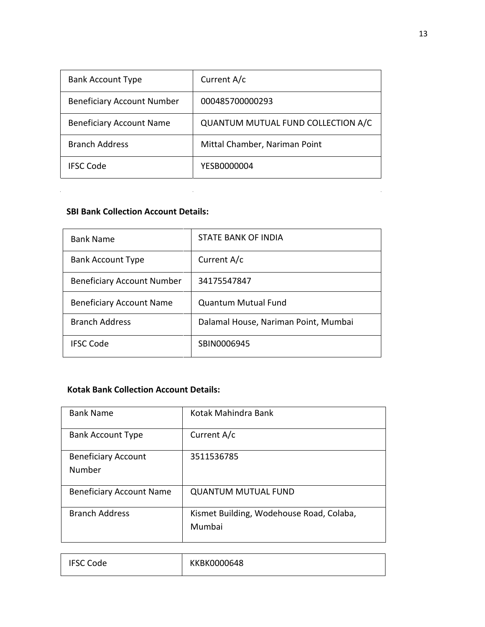| <b>Bank Account Type</b>          | Current A/c                        |
|-----------------------------------|------------------------------------|
| <b>Beneficiary Account Number</b> | 000485700000293                    |
| <b>Beneficiary Account Name</b>   | QUANTUM MUTUAL FUND COLLECTION A/C |
| <b>Branch Address</b>             | Mittal Chamber, Nariman Point      |
| <b>IFSC Code</b>                  | YESB0000004                        |

#### **SBI Bank Collection Account Details:**

 $\mathcal{L}^{\text{max}}_{\text{max}}$ 

 $\mathcal{L}^{\text{max}}_{\text{max}}$  and  $\mathcal{L}^{\text{max}}_{\text{max}}$ 

| <b>Bank Name</b>                  | <b>STATE BANK OF INDIA</b>           |
|-----------------------------------|--------------------------------------|
| <b>Bank Account Type</b>          | Current A/c                          |
| <b>Beneficiary Account Number</b> | 34175547847                          |
| <b>Beneficiary Account Name</b>   | <b>Quantum Mutual Fund</b>           |
| <b>Branch Address</b>             | Dalamal House, Nariman Point, Mumbai |
| <b>IFSC Code</b>                  | SBIN0006945                          |

## **Kotak Bank Collection Account Details:**

| <b>Bank Name</b>                     | Kotak Mahindra Bank                                |
|--------------------------------------|----------------------------------------------------|
| <b>Bank Account Type</b>             | Current A/c                                        |
| <b>Beneficiary Account</b><br>Number | 3511536785                                         |
| <b>Beneficiary Account Name</b>      | <b>QUANTUM MUTUAL FUND</b>                         |
| <b>Branch Address</b>                | Kismet Building, Wodehouse Road, Colaba,<br>Mumbai |

| <b>IFSC Code</b> | KKBK0000648 |
|------------------|-------------|
|------------------|-------------|

 $\sim$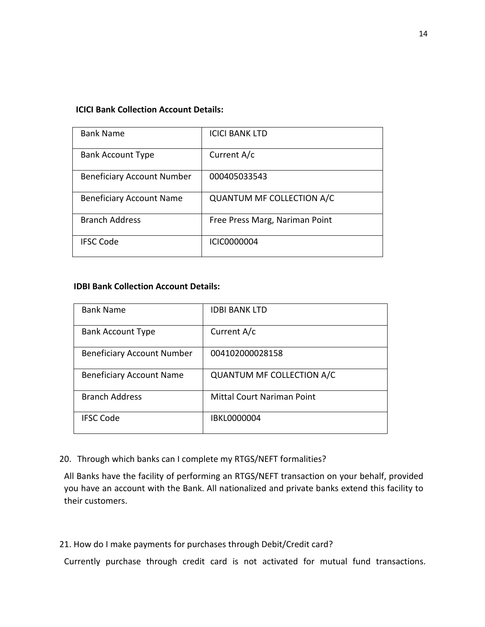#### **ICICI Bank Collection Account Details:**

| <b>Bank Name</b>                  | <b>ICICI BANK LTD</b>            |
|-----------------------------------|----------------------------------|
|                                   |                                  |
| <b>Bank Account Type</b>          | Current A/c                      |
| <b>Beneficiary Account Number</b> | 000405033543                     |
| <b>Beneficiary Account Name</b>   | <b>QUANTUM MF COLLECTION A/C</b> |
| <b>Branch Address</b>             | Free Press Marg, Nariman Point   |
| <b>IFSC Code</b>                  | ICIC0000004                      |

#### **IDBI Bank Collection Account Details:**

| <b>Bank Name</b>                  | <b>IDBI BANK LTD</b>             |
|-----------------------------------|----------------------------------|
| <b>Bank Account Type</b>          | Current A/c                      |
| <b>Beneficiary Account Number</b> | 004102000028158                  |
| <b>Beneficiary Account Name</b>   | <b>QUANTUM MF COLLECTION A/C</b> |
| <b>Branch Address</b>             | Mittal Court Nariman Point       |
| <b>IFSC Code</b>                  | IBKL0000004                      |

## 20. Through which banks can I complete my RTGS/NEFT formalities?

All Banks have the facility of performing an RTGS/NEFT transaction on your behalf, provided you have an account with the Bank. All nationalized and private banks extend this facility to their customers.

21. How do I make payments for purchases through Debit/Credit card?

Currently purchase through credit card is not activated for mutual fund transactions.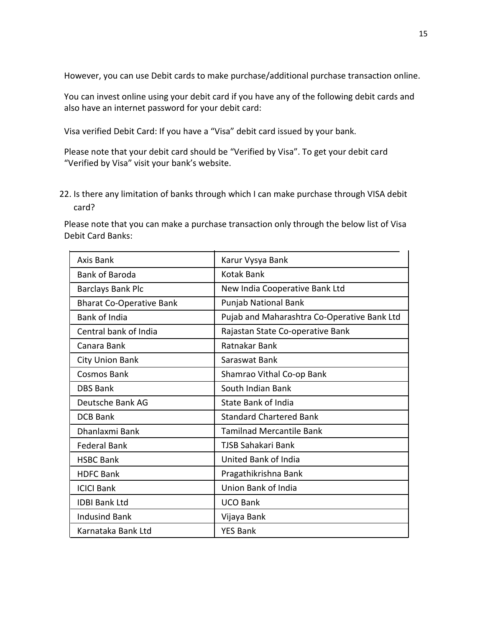However, you can use Debit cards to make purchase/additional purchase transaction online.

You can invest online using your debit card if you have any of the following debit cards and also have an internet password for your debit card:

Visa verified Debit Card: If you have a "Visa" debit card issued by your bank.

Please note that your debit card should be "Verified by Visa". To get your debit card "Verified by Visa" visit your bank's website.

22. Is there any limitation of banks through which I can make purchase through VISA debit card?

Please note that you can make a purchase transaction only through the below list of Visa Debit Card Banks:

| Axis Bank                       | Karur Vysya Bank                            |
|---------------------------------|---------------------------------------------|
| <b>Bank of Baroda</b>           | <b>Kotak Bank</b>                           |
| Barclays Bank Plc               | New India Cooperative Bank Ltd              |
| <b>Bharat Co-Operative Bank</b> | Punjab National Bank                        |
| Bank of India                   | Pujab and Maharashtra Co-Operative Bank Ltd |
| Central bank of India           | Rajastan State Co-operative Bank            |
| Canara Bank                     | Ratnakar Bank                               |
| <b>City Union Bank</b>          | Saraswat Bank                               |
| Cosmos Bank                     | Shamrao Vithal Co-op Bank                   |
| <b>DBS Bank</b>                 | South Indian Bank                           |
| Deutsche Bank AG                | State Bank of India                         |
| <b>DCB Bank</b>                 | <b>Standard Chartered Bank</b>              |
| Dhanlaxmi Bank                  | <b>Tamilnad Mercantile Bank</b>             |
| <b>Federal Bank</b>             | <b>TJSB Sahakari Bank</b>                   |
| <b>HSBC Bank</b>                | United Bank of India                        |
| <b>HDFC Bank</b>                | Pragathikrishna Bank                        |
| <b>ICICI Bank</b>               | Union Bank of India                         |
| <b>IDBI Bank Ltd</b>            | <b>UCO Bank</b>                             |
| <b>Indusind Bank</b>            | Vijaya Bank                                 |
| Karnataka Bank Ltd              | <b>YES Bank</b>                             |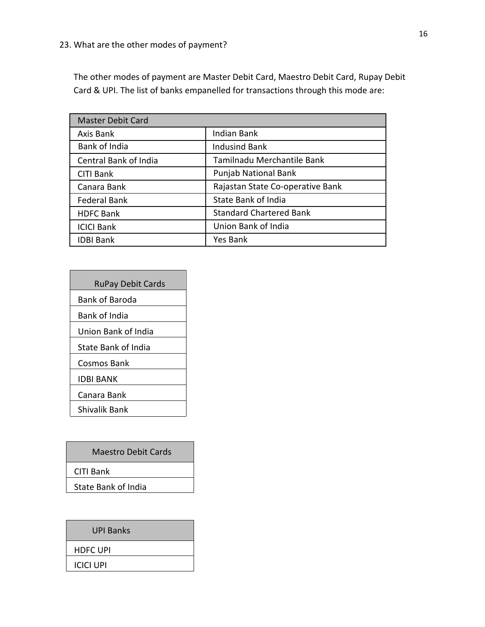# 23. What are the other modes of payment?

The other modes of payment are Master Debit Card, Maestro Debit Card, Rupay Debit Card & UPI. The list of banks empanelled for transactions through this mode are:

| <b>Master Debit Card</b> |                                  |
|--------------------------|----------------------------------|
| Axis Bank                | <b>Indian Bank</b>               |
| Bank of India            | <b>Indusind Bank</b>             |
| Central Bank of India    | Tamilnadu Merchantile Bank       |
| <b>CITI Bank</b>         | <b>Punjab National Bank</b>      |
| Canara Bank              | Rajastan State Co-operative Bank |
| <b>Federal Bank</b>      | <b>State Bank of India</b>       |
| <b>HDFC Bank</b>         | <b>Standard Chartered Bank</b>   |
| <b>ICICI Bank</b>        | Union Bank of India              |
| <b>IDBI Bank</b>         | <b>Yes Bank</b>                  |

| <b>RuPay Debit Cards</b> |
|--------------------------|
| Bank of Baroda           |
| Bank of India            |
| Union Bank of India      |
| State Bank of India      |
| Cosmos Bank              |
| IDBI BANK                |
| Canara Bank              |
| Shivalik Bank            |
|                          |

| Maestro Debit Cards |  |  |  |
|---------------------|--|--|--|
| CITI Bank           |  |  |  |
| State Bank of India |  |  |  |
|                     |  |  |  |

| <b>UPI Banks</b> |  |
|------------------|--|
| <b>HDFC UPI</b>  |  |
| <b>ICICI UPI</b> |  |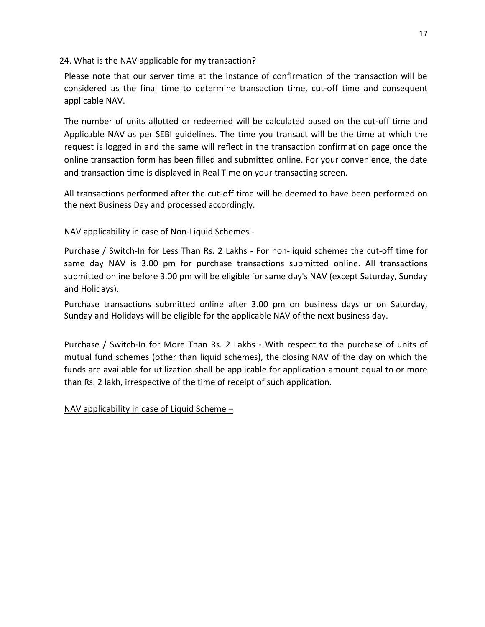### 24. What is the NAV applicable for my transaction?

Please note that our server time at the instance of confirmation of the transaction will be considered as the final time to determine transaction time, cut-off time and consequent applicable NAV.

The number of units allotted or redeemed will be calculated based on the cut-off time and Applicable NAV as per SEBI guidelines. The time you transact will be the time at which the request is logged in and the same will reflect in the transaction confirmation page once the online transaction form has been filled and submitted online. For your convenience, the date and transaction time is displayed in Real Time on your transacting screen.

All transactions performed after the cut-off time will be deemed to have been performed on the next Business Day and processed accordingly.

### NAV applicability in case of Non-Liquid Schemes -

Purchase / Switch-In for Less Than Rs. 2 Lakhs - For non-liquid schemes the cut-off time for same day NAV is 3.00 pm for purchase transactions submitted online. All transactions submitted online before 3.00 pm will be eligible for same day's NAV (except Saturday, Sunday and Holidays).

Purchase transactions submitted online after 3.00 pm on business days or on Saturday, Sunday and Holidays will be eligible for the applicable NAV of the next business day.

Purchase / Switch-In for More Than Rs. 2 Lakhs - With respect to the purchase of units of mutual fund schemes (other than liquid schemes), the closing NAV of the day on which the funds are available for utilization shall be applicable for application amount equal to or more than Rs. 2 lakh, irrespective of the time of receipt of such application.

## NAV applicability in case of Liquid Scheme –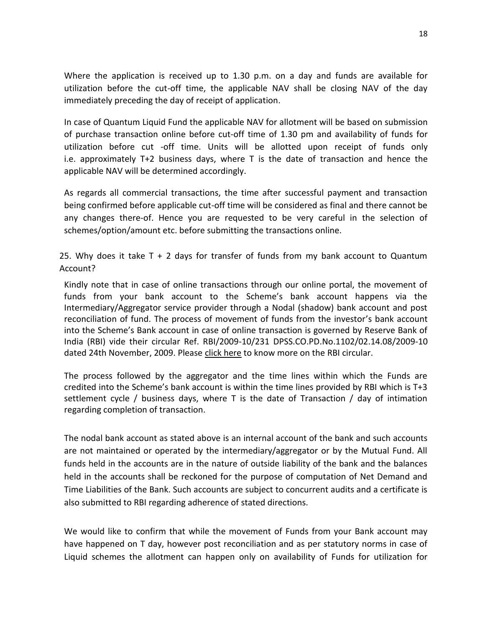Where the application is received up to 1.30 p.m. on a day and funds are available for utilization before the cut-off time, the applicable NAV shall be closing NAV of the day immediately preceding the day of receipt of application.

In case of Quantum Liquid Fund the applicable NAV for allotment will be based on submission of purchase transaction online before cut-off time of 1.30 pm and availability of funds for utilization before cut -off time. Units will be allotted upon receipt of funds only i.e. approximately T+2 business days, where T is the date of transaction and hence the applicable NAV will be determined accordingly.

As regards all commercial transactions, the time after successful payment and transaction being confirmed before applicable cut-off time will be considered as final and there cannot be any changes there-of. Hence you are requested to be very careful in the selection of schemes/option/amount etc. before submitting the transactions online.

25. Why does it take T + 2 days for transfer of funds from my bank account to Quantum Account?

Kindly note that in case of online transactions through our online portal, the movement of funds from your bank account to the Scheme's bank account happens via the Intermediary/Aggregator service provider through a Nodal (shadow) bank account and post reconciliation of fund. The process of movement of funds from the investor's bank account into the Scheme's Bank account in case of online transaction is governed by Reserve Bank of India (RBI) vide their circular Ref. RBI/2009-10/231 DPSS.CO.PD.No.1102/02.14.08/2009-10 dated 24th November, 2009. Please [click here](http://rbidocs.rbi.org.in/rdocs/notification/PDFs/DOIPS241109.pdf) to know more on the RBI circular.

The process followed by the aggregator and the time lines within which the Funds are credited into the Scheme's bank account is within the time lines provided by RBI which is T+3 settlement cycle / business days, where T is the date of Transaction / day of intimation regarding completion of transaction.

The nodal bank account as stated above is an internal account of the bank and such accounts are not maintained or operated by the intermediary/aggregator or by the Mutual Fund. All funds held in the accounts are in the nature of outside liability of the bank and the balances held in the accounts shall be reckoned for the purpose of computation of Net Demand and Time Liabilities of the Bank. Such accounts are subject to concurrent audits and a certificate is also submitted to RBI regarding adherence of stated directions.

We would like to confirm that while the movement of Funds from your Bank account may have happened on T day, however post reconciliation and as per statutory norms in case of Liquid schemes the allotment can happen only on availability of Funds for utilization for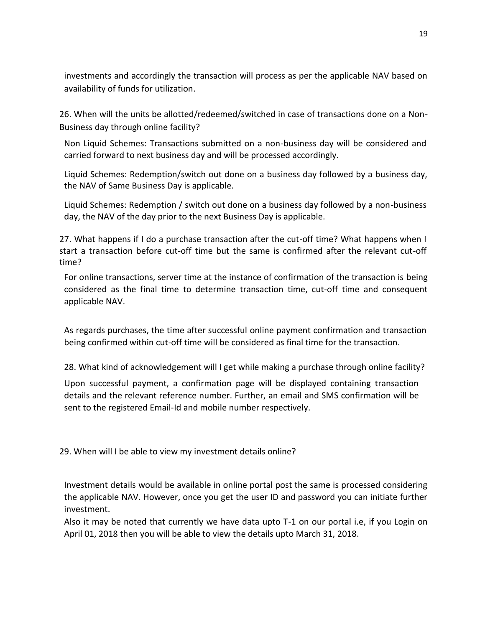investments and accordingly the transaction will process as per the applicable NAV based on availability of funds for utilization.

26. When will the units be allotted/redeemed/switched in case of transactions done on a Non-Business day through online facility?

Non Liquid Schemes: Transactions submitted on a non-business day will be considered and carried forward to next business day and will be processed accordingly.

Liquid Schemes: Redemption/switch out done on a business day followed by a business day, the NAV of Same Business Day is applicable.

Liquid Schemes: Redemption / switch out done on a business day followed by a non-business day, the NAV of the day prior to the next Business Day is applicable.

27. What happens if I do a purchase transaction after the cut-off time? What happens when I start a transaction before cut-off time but the same is confirmed after the relevant cut-off time?

For online transactions, server time at the instance of confirmation of the transaction is being considered as the final time to determine transaction time, cut-off time and consequent applicable NAV.

As regards purchases, the time after successful online payment confirmation and transaction being confirmed within cut-off time will be considered as final time for the transaction.

28. What kind of acknowledgement will I get while making a purchase through online facility?

Upon successful payment, a confirmation page will be displayed containing transaction details and the relevant reference number. Further, an email and SMS confirmation will be sent to the registered Email-Id and mobile number respectively.

29. When will I be able to view my investment details online?

Investment details would be available in online portal post the same is processed considering the applicable NAV. However, once you get the user ID and password you can initiate further investment.

Also it may be noted that currently we have data upto T-1 on our portal i.e, if you Login on April 01, 2018 then you will be able to view the details upto March 31, 2018.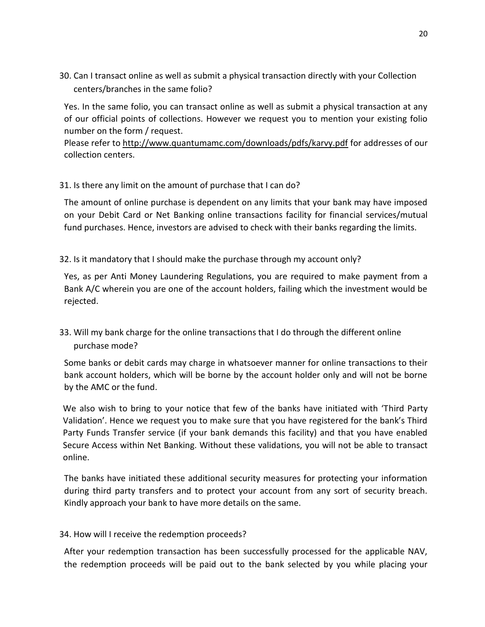30. Can I transact online as well as submit a physical transaction directly with your Collection centers/branches in the same folio?

Yes. In the same folio, you can transact online as well as submit a physical transaction at any of our official points of collections. However we request you to mention your existing folio number on the form / request.

Please refer to<http://www.quantumamc.com/downloads/pdfs/karvy.pdf>for addresses of our collection centers.

### 31. Is there any limit on the amount of purchase that I can do?

The amount of online purchase is dependent on any limits that your bank may have imposed on your Debit Card or Net Banking online transactions facility for financial services/mutual fund purchases. Hence, investors are advised to check with their banks regarding the limits.

32. Is it mandatory that I should make the purchase through my account only?

Yes, as per Anti Money Laundering Regulations, you are required to make payment from a Bank A/C wherein you are one of the account holders, failing which the investment would be rejected.

33. Will my bank charge for the online transactions that I do through the different online purchase mode?

Some banks or debit cards may charge in whatsoever manner for online transactions to their bank account holders, which will be borne by the account holder only and will not be borne by the AMC or the fund.

We also wish to bring to your notice that few of the banks have initiated with 'Third Party Validation'. Hence we request you to make sure that you have registered for the bank's Third Party Funds Transfer service (if your bank demands this facility) and that you have enabled Secure Access within Net Banking. Without these validations, you will not be able to transact online.

The banks have initiated these additional security measures for protecting your information during third party transfers and to protect your account from any sort of security breach. Kindly approach your bank to have more details on the same.

#### 34. How will I receive the redemption proceeds?

After your redemption transaction has been successfully processed for the applicable NAV, the redemption proceeds will be paid out to the bank selected by you while placing your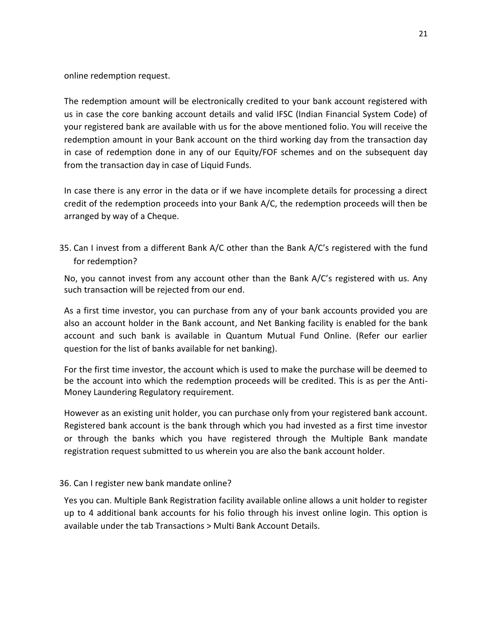online redemption request.

The redemption amount will be electronically credited to your bank account registered with us in case the core banking account details and valid IFSC (Indian Financial System Code) of your registered bank are available with us for the above mentioned folio. You will receive the redemption amount in your Bank account on the third working day from the transaction day in case of redemption done in any of our Equity/FOF schemes and on the subsequent day from the transaction day in case of Liquid Funds.

In case there is any error in the data or if we have incomplete details for processing a direct credit of the redemption proceeds into your Bank A/C, the redemption proceeds will then be arranged by way of a Cheque.

35. Can I invest from a different Bank A/C other than the Bank A/C's registered with the fund for redemption?

No, you cannot invest from any account other than the Bank A/C's registered with us. Any such transaction will be rejected from our end.

As a first time investor, you can purchase from any of your bank accounts provided you are also an account holder in the Bank account, and Net Banking facility is enabled for the bank account and such bank is available in Quantum Mutual Fund Online. (Refer our earlier question for the list of banks available for net banking).

For the first time investor, the account which is used to make the purchase will be deemed to be the account into which the redemption proceeds will be credited. This is as per the Anti-Money Laundering Regulatory requirement.

However as an existing unit holder, you can purchase only from your registered bank account. Registered bank account is the bank through which you had invested as a first time investor or through the banks which you have registered through the Multiple Bank mandate registration request submitted to us wherein you are also the bank account holder.

## 36. Can I register new bank mandate online?

Yes you can. Multiple Bank Registration facility available online allows a unit holder to register up to 4 additional bank accounts for his folio through his invest online login. This option is available under the tab Transactions > Multi Bank Account Details.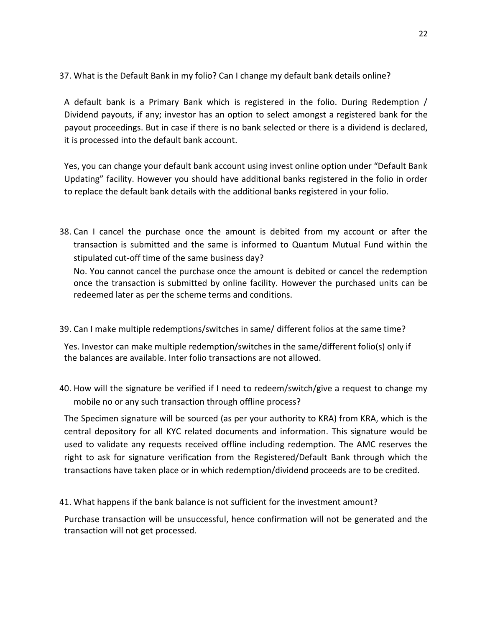37. What is the Default Bank in my folio? Can I change my default bank details online?

A default bank is a Primary Bank which is registered in the folio. During Redemption / Dividend payouts, if any; investor has an option to select amongst a registered bank for the payout proceedings. But in case if there is no bank selected or there is a dividend is declared, it is processed into the default bank account.

Yes, you can change your default bank account using invest online option under "Default Bank Updating" facility. However you should have additional banks registered in the folio in order to replace the default bank details with the additional banks registered in your folio.

38. Can I cancel the purchase once the amount is debited from my account or after the transaction is submitted and the same is informed to Quantum Mutual Fund within the stipulated cut-off time of the same business day?

No. You cannot cancel the purchase once the amount is debited or cancel the redemption once the transaction is submitted by online facility. However the purchased units can be redeemed later as per the scheme terms and conditions.

39. Can I make multiple redemptions/switches in same/ different folios at the same time?

Yes. Investor can make multiple redemption/switches in the same/different folio(s) only if the balances are available. Inter folio transactions are not allowed.

40. How will the signature be verified if I need to redeem/switch/give a request to change my mobile no or any such transaction through offline process?

The Specimen signature will be sourced (as per your authority to KRA) from KRA, which is the central depository for all KYC related documents and information. This signature would be used to validate any requests received offline including redemption. The AMC reserves the right to ask for signature verification from the Registered/Default Bank through which the transactions have taken place or in which redemption/dividend proceeds are to be credited.

41. What happens if the bank balance is not sufficient for the investment amount?

Purchase transaction will be unsuccessful, hence confirmation will not be generated and the transaction will not get processed.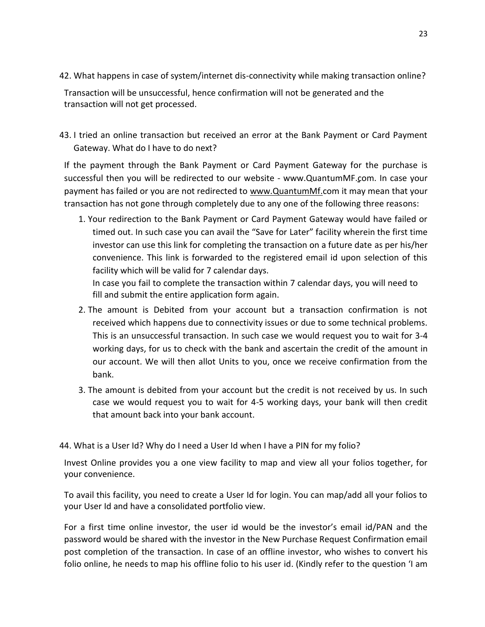42. What happens in case of system/internet dis-connectivity while making transaction online?

Transaction will be unsuccessful, hence confirmation will not be generated and the transaction will not get processed.

43. I tried an online transaction but received an error at the Bank Payment or Card Payment Gateway. What do I have to do next?

If the payment through the Bank Payment or Card Payment Gateway for the purchase is successful then you will be redirected to our website - www.QuantumMF.com. In case your payment has failed or you are not redirected to [www.QuantumMf.com](http://www.quantummf.com/) it may mean that your transaction has not gone through completely due to any one of the following three reasons:

1. Your redirection to the Bank Payment or Card Payment Gateway would have failed or timed out. In such case you can avail the "Save for Later" facility wherein the first time investor can use this link for completing the transaction on a future date as per his/her convenience. This link is forwarded to the registered email id upon selection of this facility which will be valid for 7 calendar days.

In case you fail to complete the transaction within 7 calendar days, you will need to fill and submit the entire application form again.

- 2. The amount is Debited from your account but a transaction confirmation is not received which happens due to connectivity issues or due to some technical problems. This is an unsuccessful transaction. In such case we would request you to wait for 3-4 working days, for us to check with the bank and ascertain the credit of the amount in our account. We will then allot Units to you, once we receive confirmation from the bank.
- 3. The amount is debited from your account but the credit is not received by us. In such case we would request you to wait for 4-5 working days, your bank will then credit that amount back into your bank account.
- 44. What is a User Id? Why do I need a User Id when I have a PIN for my folio?

Invest Online provides you a one view facility to map and view all your folios together, for your convenience.

To avail this facility, you need to create a User Id for login. You can map/add all your folios to your User Id and have a consolidated portfolio view.

For a first time online investor, the user id would be the investor's email id/PAN and the password would be shared with the investor in the New Purchase Request Confirmation email post completion of the transaction. In case of an offline investor, who wishes to convert his folio online, he needs to map his offline folio to his user id. (Kindly refer to the question 'I am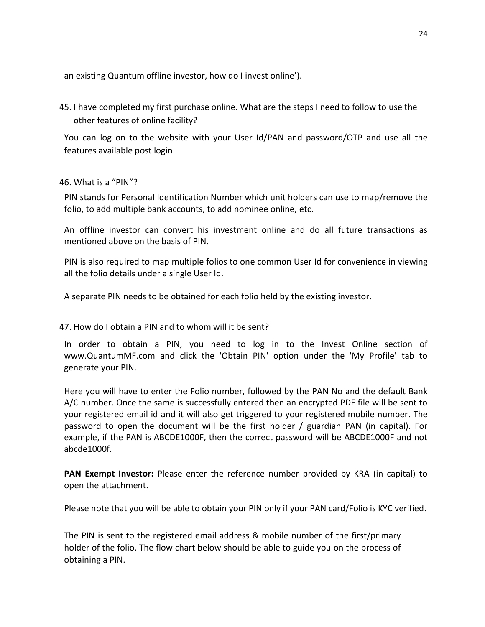an existing Quantum offline investor, how do I invest online').

45. I have completed my first purchase online. What are the steps I need to follow to use the other features of online facility?

You can log on to the website with your User Id/PAN and password/OTP and use all the features available post login

#### 46. What is a "PIN"?

PIN stands for Personal Identification Number which unit holders can use to map/remove the folio, to add multiple bank accounts, to add nominee online, etc.

An offline investor can convert his investment online and do all future transactions as mentioned above on the basis of PIN.

PIN is also required to map multiple folios to one common User Id for convenience in viewing all the folio details under a single User Id.

A separate PIN needs to be obtained for each folio held by the existing investor.

#### 47. How do I obtain a PIN and to whom will it be sent?

In order to obtain a PIN, you need to log in to the Invest Online section of [www.QuantumMF.com](http://www.quantummf.com/) and click the 'Obtain PIN' option under the 'My Profile' tab to generate your PIN.

Here you will have to enter the Folio number, followed by the PAN No and the default Bank A/C number. Once the same is successfully entered then an encrypted PDF file will be sent to your registered email id and it will also get triggered to your registered mobile number. The password to open the document will be the first holder / guardian PAN (in capital). For example, if the PAN is ABCDE1000F, then the correct password will be ABCDE1000F and not abcde1000f.

**PAN Exempt Investor:** Please enter the reference number provided by KRA (in capital) to open the attachment.

Please note that you will be able to obtain your PIN only if your PAN card/Folio is KYC verified.

The PIN is sent to the registered email address & mobile number of the first/primary holder of the folio. The flow chart below should be able to guide you on the process of obtaining a PIN.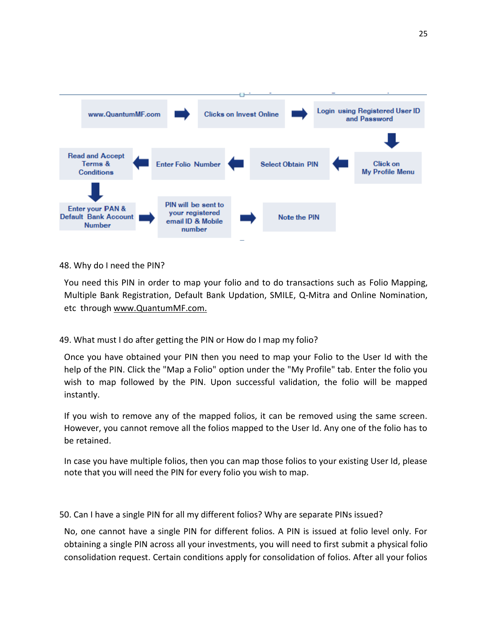

#### 48. Why do I need the PIN?

You need this PIN in order to map your folio and to do transactions such as Folio Mapping, Multiple Bank Registration, Default Bank Updation, SMILE, Q-Mitra and Online Nomination, etc through [www.QuantumMF.com.](http://www.quantummf.com/)

#### 49. What must I do after getting the PIN or How do I map my folio?

Once you have obtained your PIN then you need to map your Folio to the User Id with the help of the PIN. Click the "Map a Folio" option under the "My Profile" tab. Enter the folio you wish to map followed by the PIN. Upon successful validation, the folio will be mapped instantly.

If you wish to remove any of the mapped folios, it can be removed using the same screen. However, you cannot remove all the folios mapped to the User Id. Any one of the folio has to be retained.

In case you have multiple folios, then you can map those folios to your existing User Id, please note that you will need the PIN for every folio you wish to map.

50. Can I have a single PIN for all my different folios? Why are separate PINs issued?

No, one cannot have a single PIN for different folios. A PIN is issued at folio level only. For obtaining a single PIN across all your investments, you will need to first submit a physical folio consolidation request. Certain conditions apply for consolidation of folios. After all your folios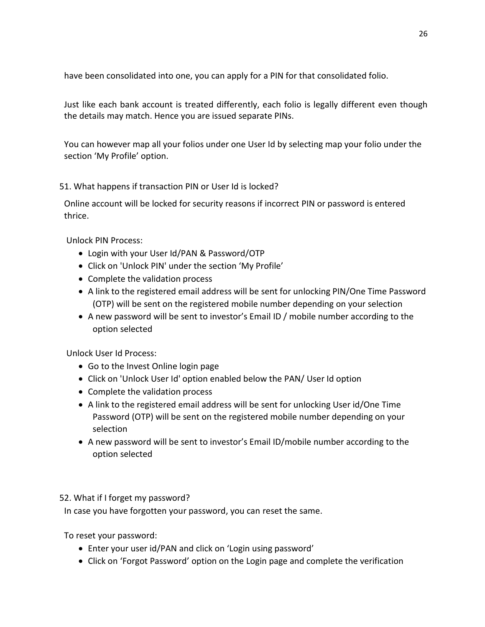have been consolidated into one, you can apply for a PIN for that consolidated folio.

Just like each bank account is treated differently, each folio is legally different even though the details may match. Hence you are issued separate PINs.

You can however map all your folios under one User Id by selecting map your folio under the section 'My Profile' option.

## 51. What happens if transaction PIN or User Id is locked?

Online account will be locked for security reasons if incorrect PIN or password is entered thrice.

Unlock PIN Process:

- Login with your User Id/PAN & Password/OTP
- Click on 'Unlock PIN' under the section 'My Profile'
- Complete the validation process
- A link to the registered email address will be sent for unlocking PIN/One Time Password (OTP) will be sent on the registered mobile number depending on your selection
- A new password will be sent to investor's Email ID / mobile number according to the option selected

Unlock User Id Process:

- Go to the Invest Online login page
- Click on 'Unlock User Id' option enabled below the PAN/ User Id option
- Complete the validation process
- A link to the registered email address will be sent for unlocking User id/One Time Password (OTP) will be sent on the registered mobile number depending on your selection
- A new password will be sent to investor's Email ID/mobile number according to the option selected

## 52. What if I forget my password?

In case you have forgotten your password, you can reset the same.

To reset your password:

- Enter your user id/PAN and click on 'Login using password'
- Click on 'Forgot Password' option on the Login page and complete the verification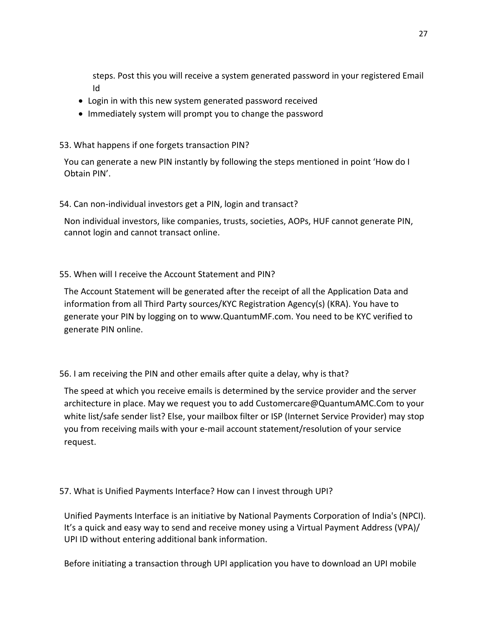steps. Post this you will receive a system generated password in your registered Email Id

- Login in with this new system generated password received
- Immediately system will prompt you to change the password

### 53. What happens if one forgets transaction PIN?

You can generate a new PIN instantly by following the steps mentioned in point 'How do I Obtain PIN'.

### 54. Can non-individual investors get a PIN, login and transact?

Non individual investors, like companies, trusts, societies, AOPs, HUF cannot generate PIN, cannot login and cannot transact online.

## 55. When will I receive the Account Statement and PIN?

The Account Statement will be generated after the receipt of all the Application Data and information from all Third Party sources/KYC Registration Agency(s) (KRA). You have to generate your PIN by logging on to www.QuantumMF.com. You need to be KYC verified to generate PIN online.

56. I am receiving the PIN and other emails after quite a delay, why is that?

The speed at which you receive emails is determined by the service provider and the server architecture in place. May we request you to add Customercare@QuantumAMC.Com to your white list/safe sender list? Else, your mailbox filter or ISP (Internet Service Provider) may stop you from receiving mails with your e-mail account statement/resolution of your service request.

## 57. What is Unified Payments Interface? How can I invest through UPI?

Unified Payments Interface is an initiative by National Payments Corporation of India's (NPCI). It's a quick and easy way to send and receive money using a Virtual Payment Address (VPA)/ UPI ID without entering additional bank information.

Before initiating a transaction through UPI application you have to download an UPI mobile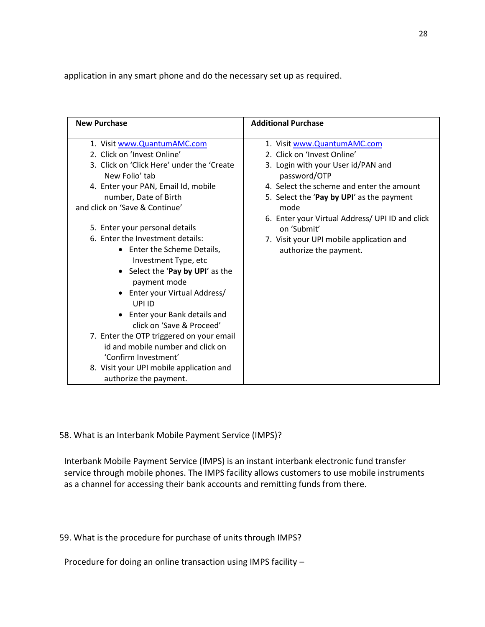application in any smart phone and do the necessary set up as required.

| <b>New Purchase</b>                                     |                                                   |  |  |
|---------------------------------------------------------|---------------------------------------------------|--|--|
|                                                         | <b>Additional Purchase</b>                        |  |  |
| 1. Visit www.QuantumAMC.com                             | 1. Visit www.QuantumAMC.com                       |  |  |
| 2. Click on 'Invest Online'                             | 2. Click on 'Invest Online'                       |  |  |
| 3. Click on 'Click Here' under the 'Create              | 3. Login with your User id/PAN and                |  |  |
| New Folio' tab                                          | password/OTP                                      |  |  |
| 4. Enter your PAN, Email Id, mobile                     | 4. Select the scheme and enter the amount         |  |  |
| number, Date of Birth<br>and click on 'Save & Continue' | 5. Select the 'Pay by UPI' as the payment<br>mode |  |  |
|                                                         | 6. Enter your Virtual Address/ UPI ID and click   |  |  |
| 5. Enter your personal details                          | on 'Submit'                                       |  |  |
| 6. Enter the Investment details:                        | 7. Visit your UPI mobile application and          |  |  |
| • Enter the Scheme Details,                             | authorize the payment.                            |  |  |
| Investment Type, etc                                    |                                                   |  |  |
| • Select the 'Pay by UPI' as the                        |                                                   |  |  |
| payment mode                                            |                                                   |  |  |
| • Enter your Virtual Address/                           |                                                   |  |  |
| UPI ID                                                  |                                                   |  |  |
| • Enter your Bank details and                           |                                                   |  |  |
| click on 'Save & Proceed'                               |                                                   |  |  |
| 7. Enter the OTP triggered on your email                |                                                   |  |  |
| id and mobile number and click on                       |                                                   |  |  |
| 'Confirm Investment'                                    |                                                   |  |  |
| 8. Visit your UPI mobile application and                |                                                   |  |  |
| authorize the payment.                                  |                                                   |  |  |

58. What is an Interbank Mobile Payment Service (IMPS)?

Interbank Mobile Payment Service (IMPS) is an instant interbank electronic fund transfer service through mobile phones. The IMPS facility allows customers to use mobile instruments as a channel for accessing their bank accounts and remitting funds from there.

59. What is the procedure for purchase of units through IMPS?

Procedure for doing an online transaction using IMPS facility –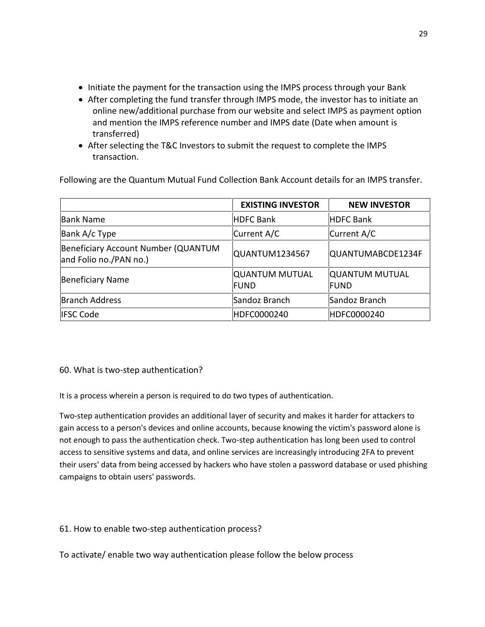- Initiate the payment for the transaction using the IMPS process through your Bank
- After completing the fund transfer through IMPS mode, the investor has to initiate an online new/additional purchase from our website and select IMPS as payment option and mention the IMPS reference number and IMPS date (Date when amount is transferred)
- After selecting the T&C Investors to submit the request to complete the IMPS transaction.

Following are the Quantum Mutual Fund Collection Bank Account details for an IMPS transfer.

|                                                               | <b>EXISTING INVESTOR</b>      | <b>NEW INVESTOR</b>           |
|---------------------------------------------------------------|-------------------------------|-------------------------------|
| <b>Bank Name</b>                                              | <b>HDFC Bank</b>              | <b>HDFC Bank</b>              |
| Bank A/c Type                                                 | Current A/C                   | Current A/C                   |
| Beneficiary Account Number (QUANTUM<br>and Folio no./PAN no.) | QUANTUM1234567                | QUANTUMABCDE1234F             |
| Beneficiary Name                                              | <b>QUANTUM MUTUAL</b><br>FUND | QUANTUM MUTUAL<br><b>FUND</b> |
| <b>Branch Address</b>                                         | Sandoz Branch                 | Sandoz Branch                 |
| <b>IFSC Code</b>                                              | HDFC0000240                   | HDFC0000240                   |

## 60. What is two-step authentication?

It is a process wherein a person is required to do two types of authentication.

Two-step authentication provides an additional layer of security and makes it harder for attackers to gain access to a person's devices and online accounts, because knowing the victim's password alone is not enough to pass the authentication check. Two-step authentication has long been used to control access to sensitive systems and data, and online services are increasingly introducing 2FA to prevent their users' data from being accessed by hackers who have stolen a password database or used phishing campaigns to obtain users' passwords.

61. How to enable two-step authentication process?

To activate/ enable two way authentication please follow the below process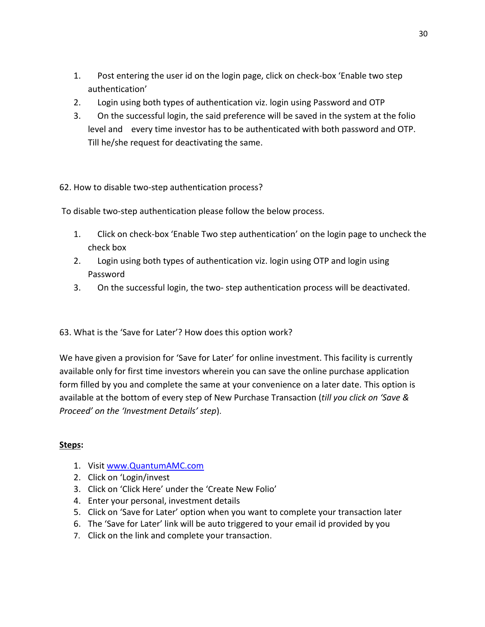- 1. Post entering the user id on the login page, click on check-box 'Enable two step authentication'
- 2. Login using both types of authentication viz. login using Password and OTP
- 3. On the successful login, the said preference will be saved in the system at the folio level and every time investor has to be authenticated with both password and OTP. Till he/she request for deactivating the same.

## 62. How to disable two-step authentication process?

To disable two-step authentication please follow the below process.

- 1. Click on check-box 'Enable Two step authentication' on the login page to uncheck the check box
- 2. Login using both types of authentication viz. login using OTP and login using Password
- 3. On the successful login, the two- step authentication process will be deactivated.

63. What is the 'Save for Later'? How does this option work?

We have given a provision for 'Save for Later' for online investment. This facility is currently available only for first time investors wherein you can save the online purchase application form filled by you and complete the same at your convenience on a later date. This option is available at the bottom of every step of New Purchase Transaction (*till you click on 'Save & Proceed' on the 'Investment Details' step*).

## **Steps:**

- 1. Visi[t www.QuantumAMC.com](http://www.quantumamc.com/)
- 2. Click on 'Login/invest
- 3. Click on 'Click Here' under the 'Create New Folio'
- 4. Enter your personal, investment details
- 5. Click on 'Save for Later' option when you want to complete your transaction later
- 6. The 'Save for Later' link will be auto triggered to your email id provided by you
- 7. Click on the link and complete your transaction.